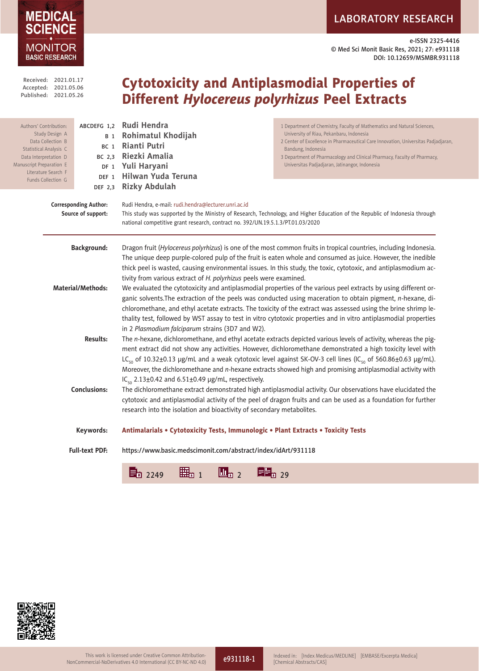# LABORATORY RESEARCH

e-ISSN 2325-4416 © Med Sci Monit Basic Res, 2021; 27: e931118 DOI: 10.12659/MSMBR.931118





**MEDICAL** 

MONITOR

e931118-1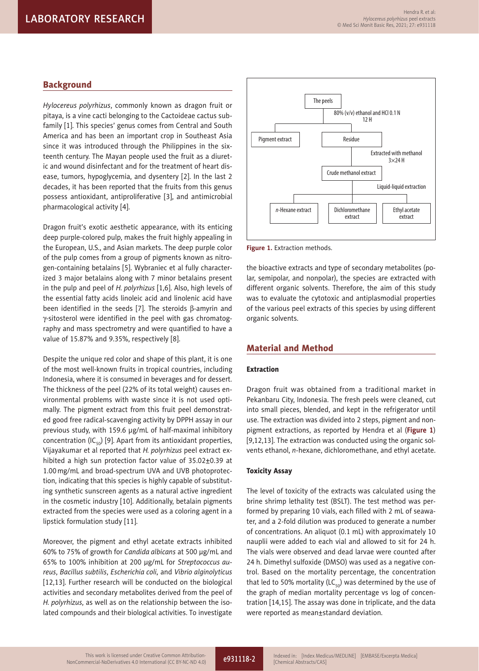## **Background**

*Hylocereus polyrhizus*, commonly known as dragon fruit or pitaya, is a vine cacti belonging to the Cactoideae cactus subfamily [1]. This species' genus comes from Central and South America and has been an important crop in Southeast Asia since it was introduced through the Philippines in the sixteenth century. The Mayan people used the fruit as a diuretic and wound disinfectant and for the treatment of heart disease, tumors, hypoglycemia, and dysentery [2]. In the last 2 decades, it has been reported that the fruits from this genus possess antioxidant, antiproliferative [3], and antimicrobial pharmacological activity [4].

Dragon fruit's exotic aesthetic appearance, with its enticing deep purple-colored pulp, makes the fruit highly appealing in the European, U.S., and Asian markets. The deep purple color of the pulp comes from a group of pigments known as nitrogen-containing betalains [5]. Wybraniec et al fully characterized 3 major betalains along with 7 minor betalains present in the pulp and peel of *H. polyrhizus* [1,6]. Also, high levels of the essential fatty acids linoleic acid and linolenic acid have been identified in the seeds [7]. The steroids  $\beta$ -amyrin and g-sitosterol were identified in the peel with gas chromatography and mass spectrometry and were quantified to have a value of 15.87% and 9.35%, respectively [8].

Despite the unique red color and shape of this plant, it is one of the most well-known fruits in tropical countries, including Indonesia, where it is consumed in beverages and for dessert. The thickness of the peel (22% of its total weight) causes environmental problems with waste since it is not used optimally. The pigment extract from this fruit peel demonstrated good free radical-scavenging activity by DPPH assay in our previous study, with 159.6 μg/mL of half-maximal inhibitory concentration (IC $_{50}$ ) [9]. Apart from its antioxidant properties, Vijayakumar et al reported that *H. polyrhizus* peel extract exhibited a high sun protection factor value of  $35.02\pm0.39$  at 1.00mg/mL and broad-spectrum UVA and UVB photoprotection, indicating that this species is highly capable of substituting synthetic sunscreen agents as a natural active ingredient in the cosmetic industry [10]. Additionally, betalain pigments extracted from the species were used as a coloring agent in a lipstick formulation study [11].

Moreover, the pigment and ethyl acetate extracts inhibited 60% to 75% of growth for *Candida albicans* at 500 µg/mL and 65% to 100% inhibition at 200 µg/mL for *Streptococcus aureus*, *Bacillus subtilis*, *Escherichia coli*, and *Vibrio alginolyticus* [12,13]. Further research will be conducted on the biological activities and secondary metabolites derived from the peel of *H. polyrhizus*, as well as on the relationship between the isolated compounds and their biological activities. To investigate



**Figure 1.** Extraction methods.

the bioactive extracts and type of secondary metabolites (polar, semipolar, and nonpolar), the species are extracted with different organic solvents. Therefore, the aim of this study was to evaluate the cytotoxic and antiplasmodial properties of the various peel extracts of this species by using different organic solvents.

## Material and Method

#### Extraction

Dragon fruit was obtained from a traditional market in Pekanbaru City, Indonesia. The fresh peels were cleaned, cut into small pieces, blended, and kept in the refrigerator until use. The extraction was divided into 2 steps, pigment and nonpigment extractions, as reported by Hendra et al (**Figure 1**) [9,12,13]. The extraction was conducted using the organic solvents ethanol, *n*-hexane, dichloromethane, and ethyl acetate.

#### Toxicity Assay

The level of toxicity of the extracts was calculated using the brine shrimp lethality test (BSLT). The test method was performed by preparing 10 vials, each filled with 2 mL of seawater, and a 2-fold dilution was produced to generate a number of concentrations. An aliquot (0.1 mL) with approximately 10 nauplii were added to each vial and allowed to sit for 24 h. The vials were observed and dead larvae were counted after 24 h. Dimethyl sulfoxide (DMSO) was used as a negative control. Based on the mortality percentage, the concentration that led to 50% mortality (LC<sub>50</sub>) was determined by the use of the graph of median mortality percentage vs log of concentration [14,15]. The assay was done in triplicate, and the data were reported as mean±standard deviation.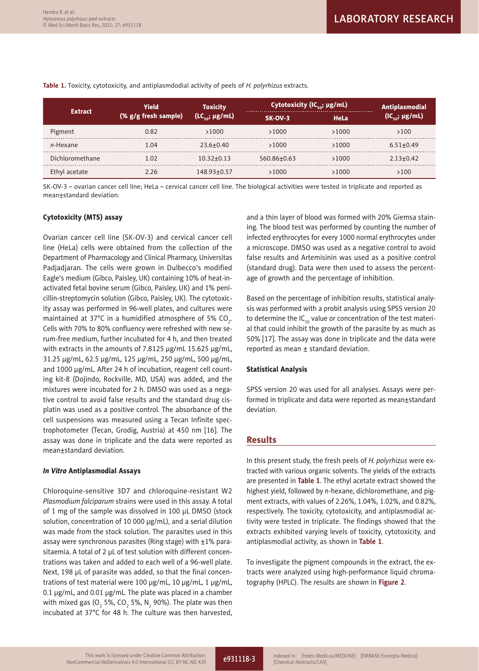| <b>Extract</b>  | Yield<br>(% g/g fresh sample) | <b>Toxicity</b><br>$(LC_{\ldots}; \mu g/mL)$ | Cytotoxicity (IC <sub>50</sub> ; $\mu$ g/mL) |             | Antiplasmodial             |
|-----------------|-------------------------------|----------------------------------------------|----------------------------------------------|-------------|----------------------------|
|                 |                               |                                              | <b>SK-OV-3</b>                               | <b>HeLa</b> | (IC <sub>so</sub> ; µg/mL) |
| Pigment         | 0.82                          | >1000                                        | >1000                                        | >1000       | >100                       |
| n-Hexane        | 1.04                          | $23.6 + 0.40$                                | >1000                                        | >1000       | $6.51 + 0.49$              |
| Dichloromethane | 1.02                          | $10.32 + 0.13$                               | 560.86+0.63                                  | >1000       | $2.13 + 0.42$              |
| Ethyl acetate   | 2.26                          | 148.93+0.57                                  | >1000                                        | 1000ء       | >100                       |

**Table 1.** Toxicity, cytotoxicity, and antiplasmdodial activity of peels of *H. polyrhizus* extracts.

SK-OV-3 – ovarian cancer cell line; HeLa – cervical cancer cell line. The biological activities were tested in triplicate and reported as mean±standard deviation.

## Cytotoxicity (MTS) assay

Ovarian cancer cell line (SK-OV-3) and cervical cancer cell line (HeLa) cells were obtained from the collection of the Department of Pharmacology and Clinical Pharmacy, Universitas Padjadjaran. The cells were grown in Dulbecco's modified Eagle's medium (Gibco, Paisley, UK) containing 10% of heat-inactivated fetal bovine serum (Gibco, Paisley, UK) and 1% penicillin-streptomycin solution (Gibco, Paisley, UK). The cytotoxicity assay was performed in 96-well plates, and cultures were maintained at 37°C in a humidified atmosphere of 5% CO<sub>2</sub>. Cells with 70% to 80% confluency were refreshed with new serum-free medium, further incubated for 4 h, and then treated with extracts in the amounts of 7.8125 µg/mL 15.625 µg/mL, 31.25 µg/mL, 62.5 µg/mL, 125 µg/mL, 250 µg/mL, 500 µg/mL, and 1000 µg/mL. After 24 h of incubation, reagent cell counting kit-8 (Dojindo, Rockville, MD, USA) was added, and the mixtures were incubated for 2 h. DMSO was used as a negative control to avoid false results and the standard drug cisplatin was used as a positive control. The absorbance of the cell suspensions was measured using a Tecan Infinite spectrophotometer (Tecan, Grodig, Austria) at 450 nm [16]. The assay was done in triplicate and the data were reported as mean±standard deviation.

#### *In Vitro* Antiplasmodial Assays

Chloroquine-sensitive 3D7 and chloroquine-resistant W2 *Plasmodium falciparum* strains were used in this assay. A total of 1 mg of the sample was dissolved in 100 μL DMSO (stock solution, concentration of 10 000 μg/mL), and a serial dilution was made from the stock solution. The parasites used in this assay were synchronous parasites (Ring stage) with ±1% parasitaemia. A total of 2 μL of test solution with different concentrations was taken and added to each well of a 96-well plate. Next, 198 μL of parasite was added, so that the final concentrations of test material were 100 μg/mL, 10 μg/mL, 1 μg/mL, 0.1 μg/mL, and 0.01 μg/mL. The plate was placed in a chamber with mixed gas (O $_{_2}$  5%, CO $_{_2}$  5%, N $_{_2}$  90%). The plate was then incubated at 37°C for 48 h. The culture was then harvested,

and a thin layer of blood was formed with 20% Giemsa staining. The blood test was performed by counting the number of infected erythrocytes for every 1000 normal erythrocytes under a microscope. DMSO was used as a negative control to avoid false results and Artemisinin was used as a positive control (standard drug). Data were then used to assess the percentage of growth and the percentage of inhibition.

Based on the percentage of inhibition results, statistical analysis was performed with a probit analysis using SPSS version 20 to determine the IC $_{50}$  value or concentration of the test material that could inhibit the growth of the parasite by as much as 50% [17]. The assay was done in triplicate and the data were reported as mean  $\pm$  standard deviation.

#### Statistical Analysis

SPSS version 20 was used for all analyses. Assays were performed in triplicate and data were reported as mean±standard deviation.

## Results

In this present study, the fresh peels of *H. polyrhizus* were extracted with various organic solvents. The yields of the extracts are presented in **Table 1**. The ethyl acetate extract showed the highest yield, followed by *n*-hexane, dichloromethane, and pigment extracts, with values of 2.26%, 1.04%, 1.02%, and 0.82%, respectively. The toxicity, cytotoxicity, and antiplasmodial activity were tested in triplicate. The findings showed that the extracts exhibited varying levels of toxicity, cytotoxicity, and antiplasmodial activity, as shown in **Table 1**.

To investigate the pigment compounds in the extract, the extracts were analyzed using high-performance liquid chromatography (HPLC). The results are shown in **Figure 2**.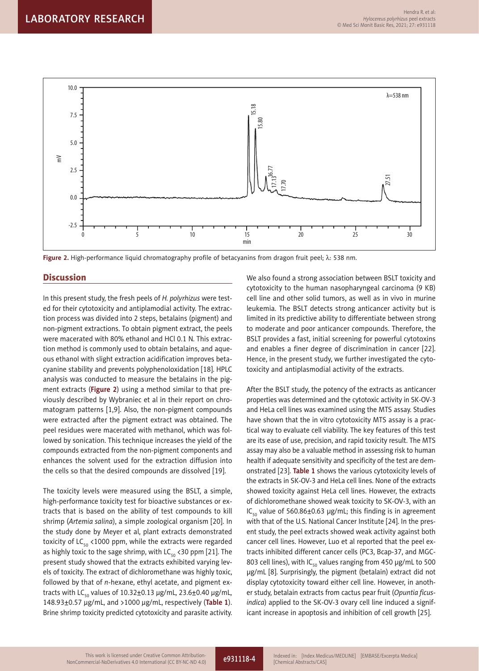

Figure 2. High-performance liquid chromatography profile of betacyanins from dragon fruit peel; λ: 538 nm.

## **Discussion**

In this present study, the fresh peels of *H. polyrhizus* were tested for their cytotoxicity and antiplamodial activity. The extraction process was divided into 2 steps, betalains (pigment) and non-pigment extractions. To obtain pigment extract, the peels were macerated with 80% ethanol and HCl 0.1 N. This extraction method is commonly used to obtain betalains, and aqueous ethanol with slight extraction acidification improves betacyanine stability and prevents polyphenoloxidation [18]. HPLC analysis was conducted to measure the betalains in the pigment extracts (**Figure 2**) using a method similar to that previously described by Wybraniec et al in their report on chromatogram patterns [1,9]. Also, the non-pigment compounds were extracted after the pigment extract was obtained. The peel residues were macerated with methanol, which was followed by sonication. This technique increases the yield of the compounds extracted from the non-pigment components and enhances the solvent used for the extraction diffusion into the cells so that the desired compounds are dissolved [19].

The toxicity levels were measured using the BSLT, a simple, high-performance toxicity test for bioactive substances or extracts that is based on the ability of test compounds to kill shrimp (*Artemia salina*), a simple zoological organism [20]. In the study done by Meyer et al, plant extracts demonstrated toxicity of LC $_{50}$  <1000 ppm, while the extracts were regarded as highly toxic to the sage shrimp, with  $LC_{50}$  < 30 ppm [21]. The present study showed that the extracts exhibited varying levels of toxicity. The extract of dichloromethane was highly toxic, followed by that of *n*-hexane, ethyl acetate, and pigment extracts with LC<sub>50</sub> values of 10.32 $\pm$ 0.13 µg/mL, 23.6 $\pm$ 0.40 µg/mL, 148.93±0.57 µg/mL, and >1000 µg/mL, respectively (**Table 1**). Brine shrimp toxicity predicted cytotoxicity and parasite activity. We also found a strong association between BSLT toxicity and cytotoxicity to the human nasopharyngeal carcinoma (9 KB) cell line and other solid tumors, as well as in vivo in murine leukemia. The BSLT detects strong anticancer activity but is limited in its predictive ability to differentiate between strong to moderate and poor anticancer compounds. Therefore, the BSLT provides a fast, initial screening for powerful cytotoxins and enables a finer degree of discrimination in cancer [22]. Hence, in the present study, we further investigated the cytotoxicity and antiplasmodial activity of the extracts.

After the BSLT study, the potency of the extracts as anticancer properties was determined and the cytotoxic activity in SK-OV-3 and HeLa cell lines was examined using the MTS assay. Studies have shown that the in vitro cytotoxicity MTS assay is a practical way to evaluate cell viability. The key features of this test are its ease of use, precision, and rapid toxicity result. The MTS assay may also be a valuable method in assessing risk to human health if adequate sensitivity and specificity of the test are demonstrated [23]. **Table 1** shows the various cytotoxicity levels of the extracts in SK-OV-3 and HeLa cell lines. None of the extracts showed toxicity against HeLa cell lines. However, the extracts of dichloromethane showed weak toxicity to SK-OV-3, with an IC<sub>50</sub> value of 560.86 $\pm$ 0.63 μg/mL; this finding is in agreement with that of the U.S. National Cancer Institute [24]. In the present study, the peel extracts showed weak activity against both cancer cell lines. However, Luo et al reported that the peel extracts inhibited different cancer cells (PC3, Bcap-37, and MGC-803 cell lines), with IC $_{50}$  values ranging from 450 µg/mL to 500 μg/mL [8]. Surprisingly, the pigment (betalain) extract did not display cytotoxicity toward either cell line. However, in another study, betalain extracts from cactus pear fruit (*Opuntia ficusindica*) applied to the SK-OV-3 ovary cell line induced a significant increase in apoptosis and inhibition of cell growth [25].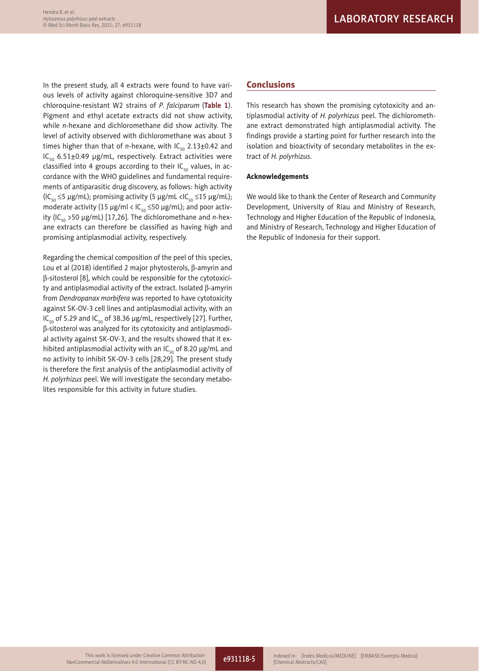In the present study, all 4 extracts were found to have various levels of activity against chloroquine-sensitive 3D7 and chloroquine-resistant W2 strains of *P. falciparum* (**Table 1**). Pigment and ethyl acetate extracts did not show activity, while *n-*hexane and dichloromethane did show activity. The level of activity observed with dichloromethane was about 3 times higher than that of *n*-hexane, with  $IC_{50}$  2.13 $\pm$ 0.42 and IC<sub>50</sub> 6.51±0.49 µg/mL, respectively. Extract activities were classified into 4 groups according to their  $IC_{50}$  values, in accordance with the WHO guidelines and fundamental requirements of antiparasitic drug discovery, as follows: high activity  $(IC_{50} \leq 5 \mu g/mL)$ ; promising activity (5  $\mu g/mL < IC_{50} \leq 15 \mu g/mL)$ ; moderate activity (15  $\mu$ g/ml < IC<sub>50</sub>  $\leq$  50  $\mu$ g/mL); and poor activity (IC<sub>50</sub> > 50 μg/mL) [17,26]. The dichloromethane and *n*-hexane extracts can therefore be classified as having high and promising antiplasmodial activity, respectively.

Regarding the chemical composition of the peel of this species, Lou et al (2018) identified 2 major phytosterols,  $\beta$ -amyrin and b-sitosterol [8], which could be responsible for the cytotoxicity and antiplasmodial activity of the extract. Isolated  $\beta$ -amyrin from *Dendropanax morbifera* was reported to have cytotoxicity against SK-OV-3 cell lines and antiplasmodial activity, with an IC<sub>50</sub> of 5.29 and IC<sub>50</sub> of 38.36  $\mu$ g/mL, respectively [27]. Further, b-sitosterol was analyzed for its cytotoxicity and antiplasmodial activity against SK-OV-3, and the results showed that it exhibited antiplasmodial activity with an IC<sub>50</sub> of 8.20  $\mu$ g/mL and no activity to inhibit SK-OV-3 cells [28,29]. The present study is therefore the first analysis of the antiplasmodial activity of *H. polyrhizus* peel. We will investigate the secondary metabolites responsible for this activity in future studies.

## Conclusions

This research has shown the promising cytotoxicity and antiplasmodial activity of *H. polyrhizus* peel. The dichloromethane extract demonstrated high antiplasmodial activity. The findings provide a starting point for further research into the isolation and bioactivity of secondary metabolites in the extract of *H. polyrhizus*.

## Acknowledgements

We would like to thank the Center of Research and Community Development, University of Riau and Ministry of Research, Technology and Higher Education of the Republic of Indonesia, and Ministry of Research, Technology and Higher Education of the Republic of Indonesia for their support.